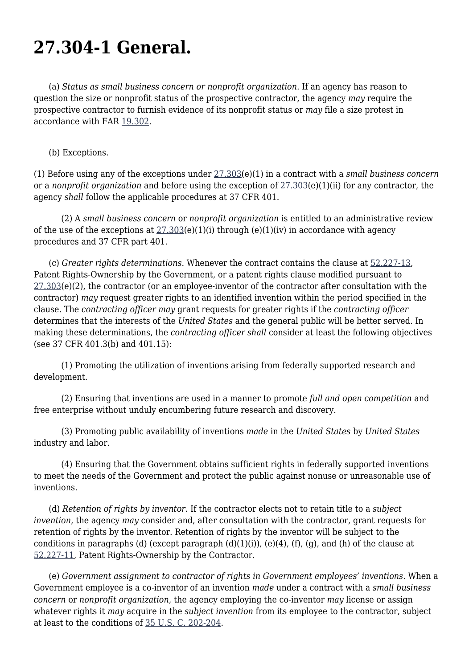## **27.304-1 General.**

 (a) *Status as small business concern or nonprofit organization*. If an agency has reason to question the size or nonprofit status of the prospective contractor, the agency *may* require the prospective contractor to furnish evidence of its nonprofit status or *may* file a size protest in accordance with FAR [19.302.](https://origin-www.acquisition.gov/far/19.302#FAR_19_302)

## (b) Exceptions.

(1) Before using any of the exceptions under [27.303](https://origin-www.acquisition.gov/far/27.303#FAR_27_303)(e)(1) in a contract with a *small business concern* or a *nonprofit organization* and before using the exception of [27.303\(](https://origin-www.acquisition.gov/far/27.303#FAR_27_303)e)(1)(ii) for any contractor, the agency *shall* follow the applicable procedures at 37 CFR 401.

 (2) A *small business concern* or *nonprofit organization* is entitled to an administrative review of the use of the exceptions at  $27.303(e)(1)(i)$  through (e)(1)(iv) in accordance with agency procedures and 37 CFR part 401.

 (c) *Greater rights determinations*. Whenever the contract contains the clause at [52.227-13](https://origin-www.acquisition.gov/far/52.227-13#FAR_52_227_13), Patent Rights-Ownership by the Government, or a patent rights clause modified pursuant to [27.303](https://origin-www.acquisition.gov/far/27.303#FAR_27_303)(e)(2), the contractor (or an employee-inventor of the contractor after consultation with the contractor) *may* request greater rights to an identified invention within the period specified in the clause. The *contracting officer may* grant requests for greater rights if the *contracting officer* determines that the interests of the *United States* and the general public will be better served. In making these determinations, the *contracting officer shall* consider at least the following objectives (see 37 CFR 401.3(b) and 401.15):

 (1) Promoting the utilization of inventions arising from federally supported research and development.

 (2) Ensuring that inventions are used in a manner to promote *full and open competition* and free enterprise without unduly encumbering future research and discovery.

 (3) Promoting public availability of inventions *made* in the *United States* by *United States* industry and labor.

 (4) Ensuring that the Government obtains sufficient rights in federally supported inventions to meet the needs of the Government and protect the public against nonuse or unreasonable use of inventions.

 (d) *Retention of rights by inventor*. If the contractor elects not to retain title to a *subject invention*, the agency *may* consider and, after consultation with the contractor, grant requests for retention of rights by the inventor. Retention of rights by the inventor will be subject to the conditions in paragraphs (d) (except paragraph  $(d)(1)(i)$ ),  $(e)(4)$ ,  $(f)$ ,  $(g)$ , and  $(h)$  of the clause at [52.227-11](https://origin-www.acquisition.gov/far/52.227-11#FAR_52_227_11), Patent Rights-Ownership by the Contractor.

 (e) *Government assignment to contractor of rights in Government employees' inventions*. When a Government employee is a co-inventor of an invention *made* under a contract with a *small business concern* or *nonprofit organization*, the agency employing the co-inventor *may* license or assign whatever rights it *may* acquire in the *subject invention* from its employee to the contractor, subject at least to the conditions of [35 U.S. C. 202-204](http://uscode.house.gov/browse.xhtml;jsessionid=114A3287C7B3359E597506A31FC855B3).